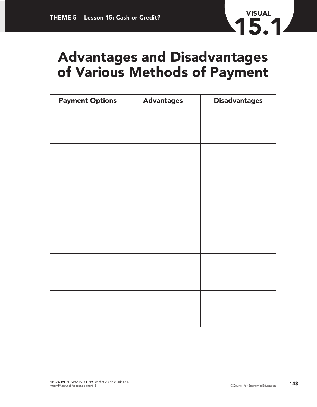

## **Advantages and Disadvantages of Various Methods of Payment**

| <b>Payment Options</b> | <b>Advantages</b> | <b>Disadvantages</b> |  |
|------------------------|-------------------|----------------------|--|
|                        |                   |                      |  |
|                        |                   |                      |  |
|                        |                   |                      |  |
|                        |                   |                      |  |
|                        |                   |                      |  |
|                        |                   |                      |  |
|                        |                   |                      |  |
|                        |                   |                      |  |
|                        |                   |                      |  |
|                        |                   |                      |  |
|                        |                   |                      |  |
|                        |                   |                      |  |
|                        |                   |                      |  |
|                        |                   |                      |  |
|                        |                   |                      |  |
|                        |                   |                      |  |
|                        |                   |                      |  |
|                        |                   |                      |  |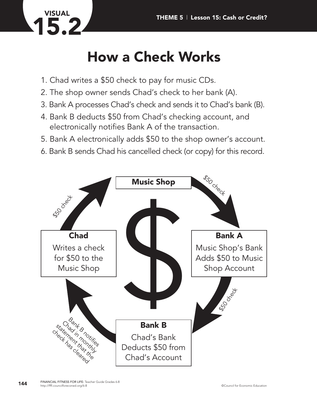

## **How a Check Works**

- 1. Chad writes a \$50 check to pay for music CDs.
- 2. The shop owner sends Chad's check to her bank (A).
- 3. Bank A processes Chad's check and sends it to Chad's bank (B).
- 4. Bank B deducts \$50 from Chad's checking account, and electronically notifies Bank A of the transaction.
- 5. Bank A electronically adds \$50 to the shop owner's account.
- 6. Bank B sends Chad his cancelled check (or copy) for this record.

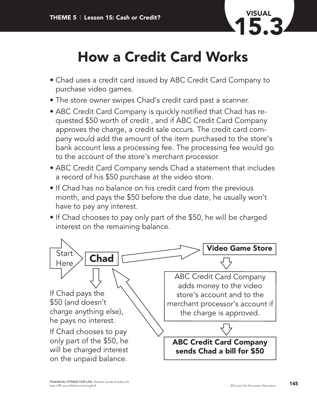

## **How a Credit Card Works**

- Chad uses a credit card issued by ABC Credit Card Company to purchase video games.
- The store owner swipes Chad's credit card past a scanner.
- ABC Credit Card Company is quickly notified that Chad has requested \$50 worth of credit , and if ABC Credit Card Company approves the charge, a credit sale occurs. The credit card company would add the amount of the item purchased to the store's bank account less a processing fee. The processing fee would go to the account of the store's merchant processor.
- ABC Credit Card Company sends Chad a statement that includes a record of his \$50 purchase at the video store.
- If Chad has no balance on his credit card from the previous month, and pays the \$50 before the due date, he usually won't have to pay any interest.
- If Chad chooses to pay only part of the \$50, he will be charged interest on the remaining balance.